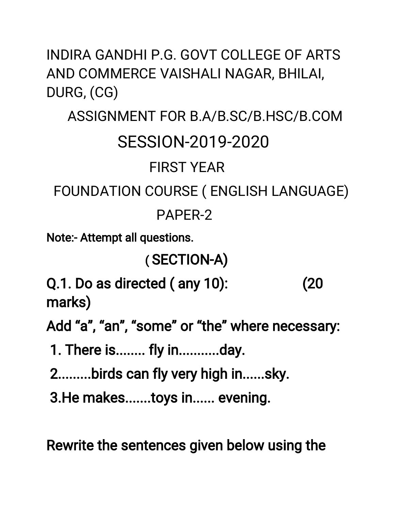INDIRA GANDHI P.G. GOVT COLLEGE OF ARTS AND COMMERCE VAISHALI NAGAR, BHILAI, DURG, (CG)

## ASSIGNMENT FOR B.A/B.SC/B.HSC/B.COM **SESSION-2019-2020 FIRST YFAR** FOUNDATION COURSE ( ENGLISH LANGUAGE)

PAPER-2

**Note:- Attempt all questions.** 

## (SECTION-A)

Q.1. Do as directed (any 10):  $(20)$ marks)

Add "a", "an", "some" or "the" where necessary:

1. There is........ fly in............day.

2.........birds can fly very high in......sky.

3. He makes.......toys in...... evening.

Rewrite the sentences given below using the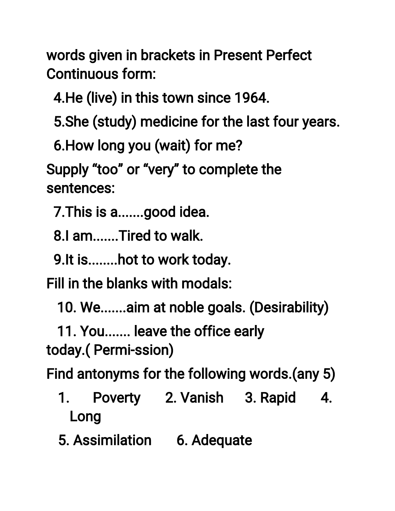words given in brackets in Present Perfect **Continuous form:** 

4. He (live) in this town since 1964.

5. She (study) medicine for the last four years.

6. How long you (wait) for me?

Supply "too" or "very" to complete the sentences:

7. This is a.......good idea.

8.I am.......Tired to walk.

9. It is........ hot to work today.

Fill in the blanks with modals:

10. We.......aim at noble goals. (Desirability)

11. You....... leave the office early today.(Permi-ssion)

Find antonyms for the following words.(any 5)

- Poverty 2. Vanish 3. Rapid  $\mathbf 1$ .  $\boldsymbol{A}_{\cdot}$ Long
- 5. Assimilation 6. Adequate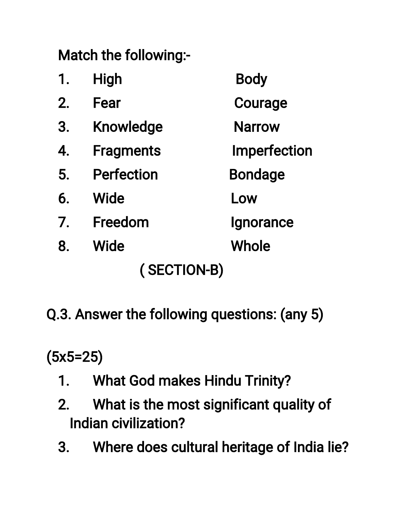Match the following:-

| 1.          | <b>High</b>       | <b>Body</b>         |
|-------------|-------------------|---------------------|
| 2.          | Fear              | <b>Courage</b>      |
| 3.          | <b>Knowledge</b>  | <b>Narrow</b>       |
| 4.          | <b>Fragments</b>  | <b>Imperfection</b> |
| 5.          | <b>Perfection</b> | <b>Bondage</b>      |
| 6.          | <b>Wide</b>       | Low                 |
| 7.          | Freedom           | Ignorance           |
| 8.          | <b>Wide</b>       | <b>Whole</b>        |
| (SECTION-B) |                   |                     |

Q.3. Answer the following questions: (any 5)

 $(5x5=25)$ 

- 1. What God makes Hindu Trinity?
- What is the most significant quality of  $2.$ Indian civilization?
- Where does cultural heritage of India lie?  $3.$